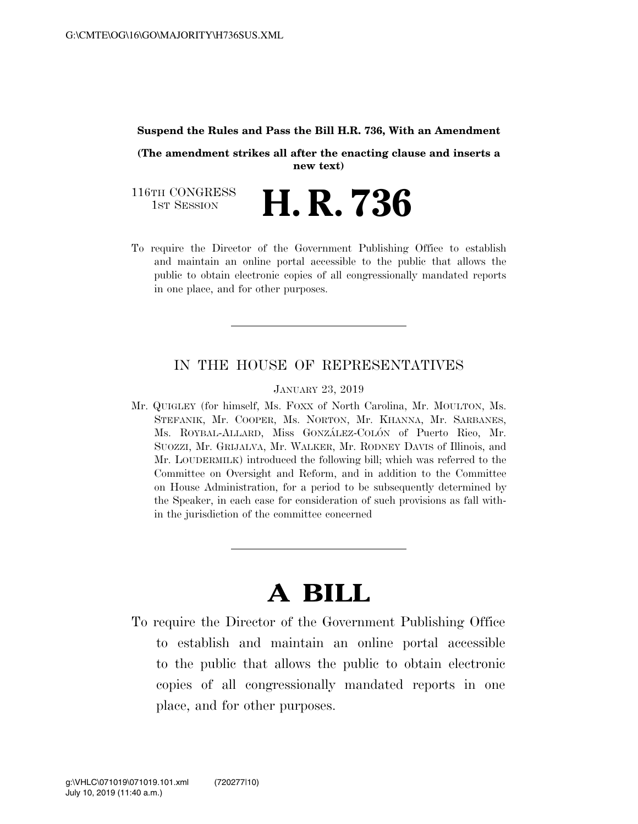#### **Suspend the Rules and Pass the Bill H.R. 736, With an Amendment**

**(The amendment strikes all after the enacting clause and inserts a new text)** 

116TH CONGRESS<br>1st Session H. R. 736

To require the Director of the Government Publishing Office to establish and maintain an online portal accessible to the public that allows the public to obtain electronic copies of all congressionally mandated reports in one place, and for other purposes.

### IN THE HOUSE OF REPRESENTATIVES

JANUARY 23, 2019

Mr. QUIGLEY (for himself, Ms. FOXX of North Carolina, Mr. MOULTON, Ms. STEFANIK, Mr. COOPER, Ms. NORTON, Mr. KHANNA, Mr. SARBANES, Ms. ROYBAL-ALLARD, Miss GONZÁLEZ-COLÓN of Puerto Rico, Mr. SUOZZI, Mr. GRIJALVA, Mr. WALKER, Mr. RODNEY DAVIS of Illinois, and Mr. LOUDERMILK) introduced the following bill; which was referred to the Committee on Oversight and Reform, and in addition to the Committee on House Administration, for a period to be subsequently determined by the Speaker, in each case for consideration of such provisions as fall within the jurisdiction of the committee concerned

# **A BILL**

To require the Director of the Government Publishing Office to establish and maintain an online portal accessible to the public that allows the public to obtain electronic copies of all congressionally mandated reports in one place, and for other purposes.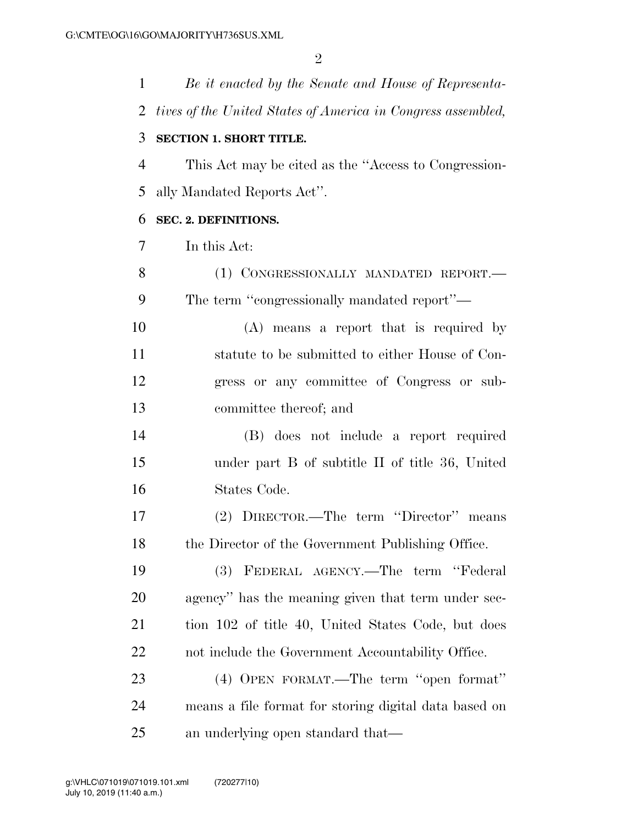| $\mathbf{1}$ | Be it enacted by the Senate and House of Representa-         |
|--------------|--------------------------------------------------------------|
| 2            | tives of the United States of America in Congress assembled, |
| 3            | <b>SECTION 1. SHORT TITLE.</b>                               |
| 4            | This Act may be cited as the "Access to Congression-         |
| 5            | ally Mandated Reports Act".                                  |
| 6            | SEC. 2. DEFINITIONS.                                         |
| 7            | In this Act:                                                 |
| 8            | (1) CONGRESSIONALLY MANDATED REPORT.-                        |
| 9            | The term "congressionally mandated report"—                  |
| 10           | (A) means a report that is required by                       |
| 11           | statute to be submitted to either House of Con-              |
| 12           | gress or any committee of Congress or sub-                   |
| 13           | committee thereof; and                                       |
| 14           | (B) does not include a report required                       |
| 15           | under part B of subtitle II of title 36, United              |
| 16           | States Code.                                                 |
| 17           | (2) DIRECTOR.—The term "Director" means                      |
| 18           | the Director of the Government Publishing Office.            |
| 19           | FEDERAL AGENCY.—The term "Federal<br>(3)                     |
| 20           | agency" has the meaning given that term under sec-           |
| 21           | tion 102 of title 40, United States Code, but does           |
| <u>22</u>    | not include the Government Accountability Office.            |
| 23           | (4) OPEN FORMAT.—The term "open format"                      |
| 24           | means a file format for storing digital data based on        |
| 25           | an underlying open standard that—                            |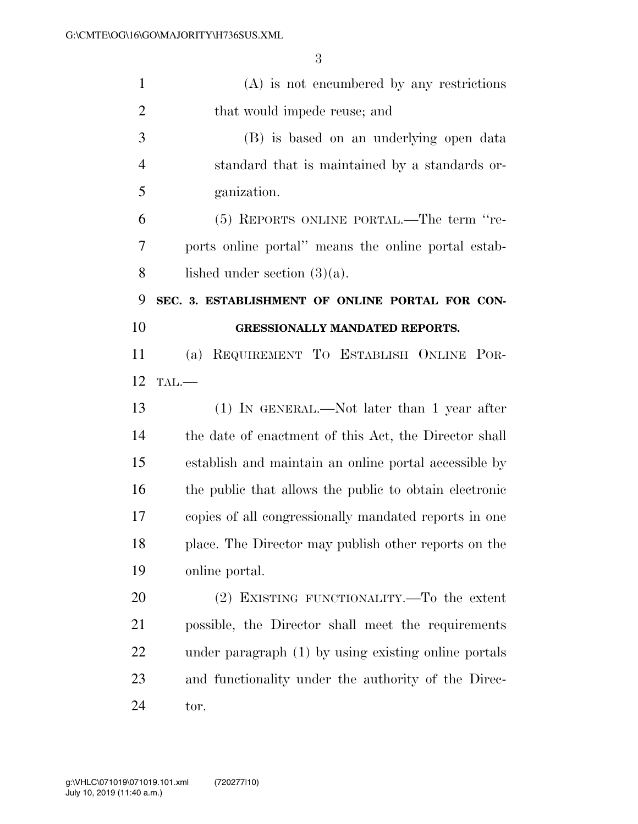| $\mathbf{1}$   | $(A)$ is not encumbered by any restrictions            |
|----------------|--------------------------------------------------------|
| $\overline{2}$ | that would impede reuse; and                           |
| 3              | (B) is based on an underlying open data                |
| 4              | standard that is maintained by a standards or-         |
| 5              | ganization.                                            |
| 6              | (5) REPORTS ONLINE PORTAL.—The term "re-               |
| 7              | ports online portal" means the online portal estab-    |
| 8              | lished under section $(3)(a)$ .                        |
| 9              | SEC. 3. ESTABLISHMENT OF ONLINE PORTAL FOR CON-        |
| 10             | <b>GRESSIONALLY MANDATED REPORTS.</b>                  |
| 11             | REQUIREMENT TO ESTABLISH ONLINE POR-<br>(a)            |
| 12             | TAL.                                                   |
| 13             | $(1)$ IN GENERAL.—Not later than 1 year after          |
| 14             | the date of enactment of this Act, the Director shall  |
| 15             | establish and maintain an online portal accessible by  |
| 16             | the public that allows the public to obtain electronic |
| 17             | copies of all congressionally mandated reports in one  |
| 18             | place. The Director may publish other reports on the   |
| 19             | online portal.                                         |
| 20             | (2) EXISTING FUNCTIONALITY.—To the extent              |
| 21             | possible, the Director shall meet the requirements     |
| 22             | under paragraph (1) by using existing online portals   |
| 23             | and functionality under the authority of the Direc-    |
| 24             | tor.                                                   |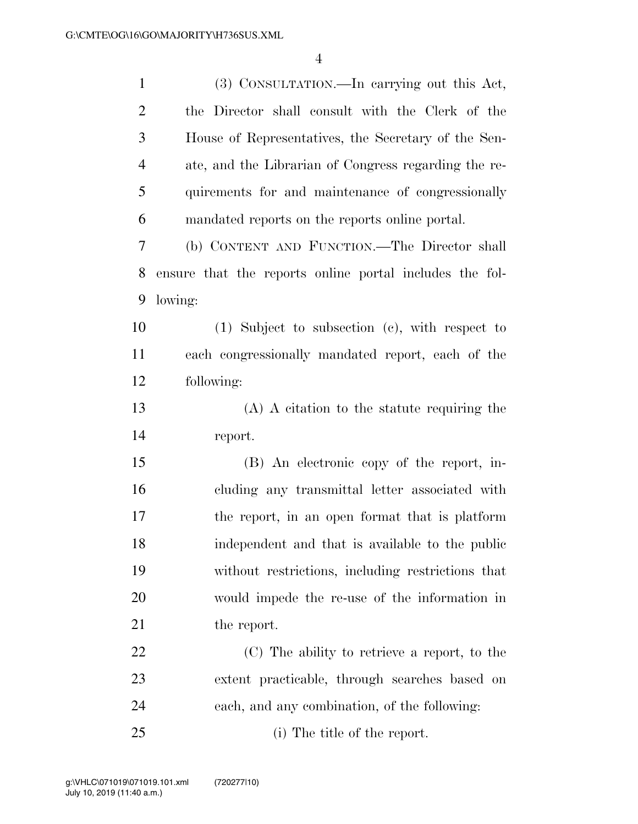| $\mathbf{1}$   | (3) CONSULTATION.—In carrying out this Act,             |
|----------------|---------------------------------------------------------|
| $\overline{2}$ | the Director shall consult with the Clerk of the        |
| 3              | House of Representatives, the Secretary of the Sen-     |
| $\overline{4}$ | ate, and the Librarian of Congress regarding the re-    |
| 5              | quirements for and maintenance of congressionally       |
| 6              | mandated reports on the reports online portal.          |
| 7              | (b) CONTENT AND FUNCTION.—The Director shall            |
| 8              | ensure that the reports online portal includes the fol- |
| 9              | lowing:                                                 |
| 10             | $(1)$ Subject to subsection $(e)$ , with respect to     |
| 11             | each congressionally mandated report, each of the       |
| 12             | following:                                              |
| 13             | $(A)$ A citation to the statute requiring the           |
| 14             | report.                                                 |
| 15             | (B) An electronic copy of the report, in-               |
| 16             | cluding any transmittal letter associated with          |
| 17             | the report, in an open format that is platform          |
| 18             | independent and that is available to the public         |
| 19             | without restrictions, including restrictions that       |
| 20             | would impede the re-use of the information in           |
| 21             | the report.                                             |
| 22             | (C) The ability to retrieve a report, to the            |
| 23             | extent practicable, through searches based on           |
| 24             | each, and any combination, of the following:            |
| 25             | (i) The title of the report.                            |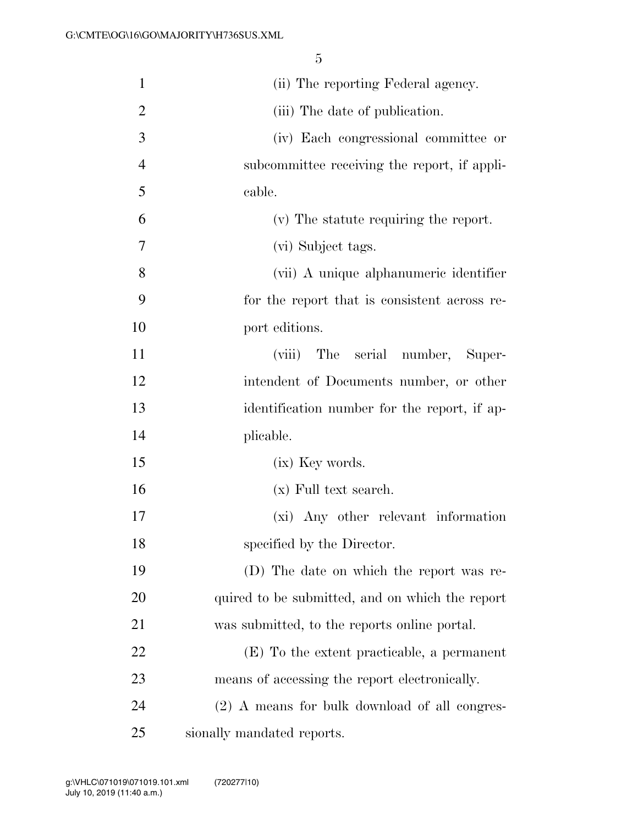| $\mathbf{1}$   | (ii) The reporting Federal agency.              |
|----------------|-------------------------------------------------|
| $\overline{2}$ | (iii) The date of publication.                  |
| 3              | (iv) Each congressional committee or            |
| $\overline{4}$ | subcommittee receiving the report, if appli-    |
| 5              | cable.                                          |
| 6              | (v) The statute requiring the report.           |
| 7              | (vi) Subject tags.                              |
| 8              | (vii) A unique alphanumeric identifier          |
| 9              | for the report that is consistent across re-    |
| 10             | port editions.                                  |
| 11             | (viii) The serial number,<br>Super-             |
| 12             | intendent of Documents number, or other         |
| 13             | identification number for the report, if ap-    |
| 14             | plicable.                                       |
| 15             | (ix) Key words.                                 |
| 16             | (x) Full text search.                           |
| 17             | (xi) Any other relevant information             |
| 18             | specified by the Director.                      |
| 19             | (D) The date on which the report was re-        |
| 20             | quired to be submitted, and on which the report |
| 21             | was submitted, to the reports online portal.    |
| 22             | (E) To the extent practicable, a permanent      |
| 23             | means of accessing the report electronically.   |
| 24             | (2) A means for bulk download of all congres-   |
| 25             | sionally mandated reports.                      |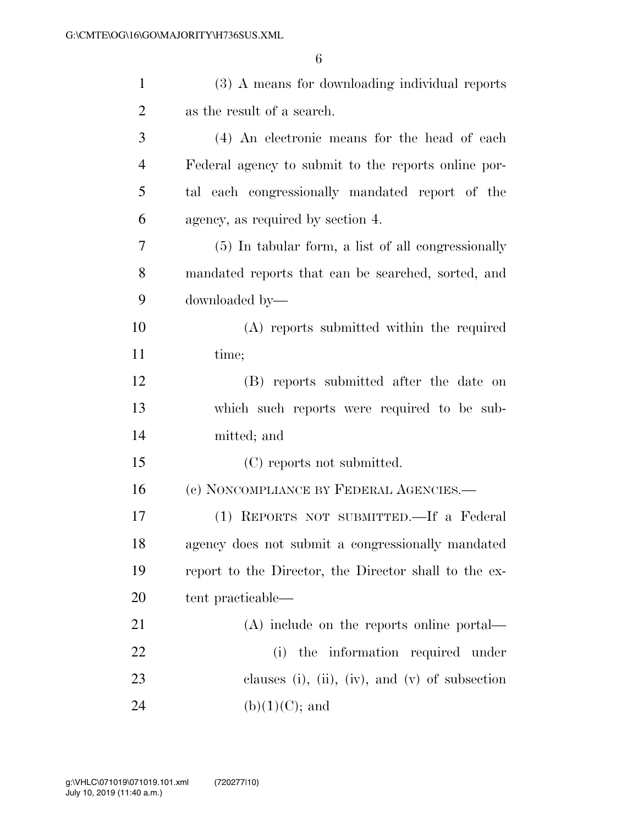| $\mathbf{1}$   | (3) A means for downloading individual reports        |
|----------------|-------------------------------------------------------|
| $\overline{2}$ | as the result of a search.                            |
| 3              | (4) An electronic means for the head of each          |
| $\overline{4}$ | Federal agency to submit to the reports online por-   |
| 5              | tal each congressionally mandated report of the       |
| 6              | agency, as required by section 4.                     |
| 7              | $(5)$ In tabular form, a list of all congressionally  |
| 8              | mandated reports that can be searched, sorted, and    |
| 9              | downloaded by—                                        |
| 10             | (A) reports submitted within the required             |
| 11             | time;                                                 |
| 12             | (B) reports submitted after the date on               |
| 13             | which such reports were required to be sub-           |
| 14             | mitted; and                                           |
| 15             | (C) reports not submitted.                            |
| 16             | (c) NONCOMPLIANCE BY FEDERAL AGENCIES.—               |
| 17             | (1) REPORTS NOT SUBMITTED. If a Federal               |
| 18             | agency does not submit a congressionally mandated     |
| 19             | report to the Director, the Director shall to the ex- |
| 20             | tent practicable—                                     |
| 21             | $(A)$ include on the reports online portal—           |
| 22             | the information required under<br>(i)                 |
| 23             | clauses (i), (ii), (iv), and (v) of subsection        |
| 24             | $(b)(1)(C)$ ; and                                     |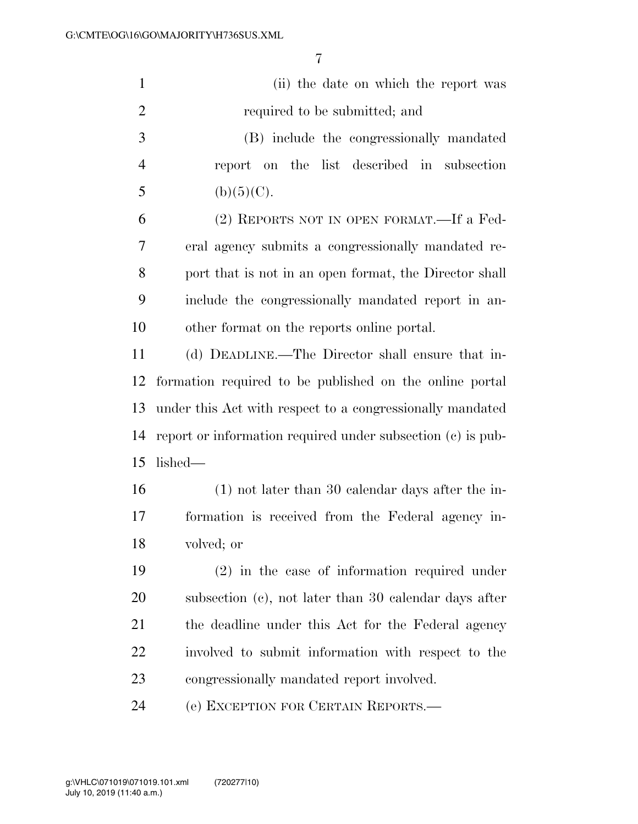| $\mathbf{1}$   | (ii) the date on which the report was                       |
|----------------|-------------------------------------------------------------|
| $\overline{2}$ | required to be submitted; and                               |
| 3              | (B) include the congressionally mandated                    |
| 4              | report on the list described in subsection                  |
| 5              | (b)(5)(C).                                                  |
| 6              | (2) REPORTS NOT IN OPEN FORMAT.—If a Fed-                   |
| $\overline{7}$ | eral agency submits a congressionally mandated re-          |
| 8              | port that is not in an open format, the Director shall      |
| 9              | include the congressionally mandated report in an-          |
| 10             | other format on the reports online portal.                  |
| 11             | (d) DEADLINE.—The Director shall ensure that in-            |
| 12             | formation required to be published on the online portal     |
| 13             | under this Act with respect to a congressionally mandated   |
| 14             | report or information required under subsection (c) is pub- |
| 15             | lished—                                                     |
| 16             | $(1)$ not later than 30 calendar days after the in-         |
| 17             | formation is received from the Federal agency in-           |
| 18             | volved; or                                                  |
| 19             | $(2)$ in the case of information required under             |
| <b>20</b>      | subsection (c), not later than 30 calendar days after       |
| 21             | the deadline under this Act for the Federal agency          |
| 22             | involved to submit information with respect to the          |
| 23             | congressionally mandated report involved.                   |
| 24             | (e) EXCEPTION FOR CERTAIN REPORTS.—                         |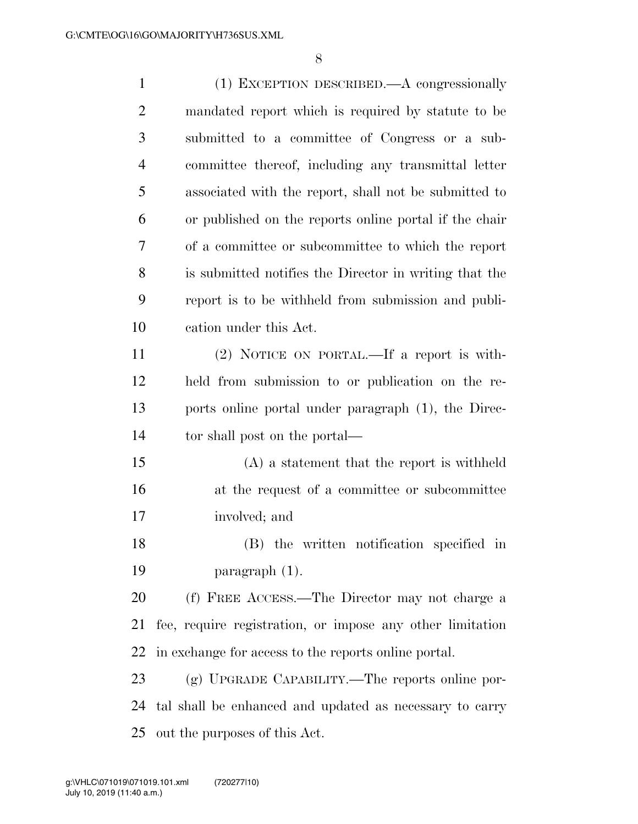(1) EXCEPTION DESCRIBED.—A congressionally mandated report which is required by statute to be submitted to a committee of Congress or a sub- committee thereof, including any transmittal letter associated with the report, shall not be submitted to or published on the reports online portal if the chair of a committee or subcommittee to which the report is submitted notifies the Director in writing that the report is to be withheld from submission and publi- cation under this Act. (2) NOTICE ON PORTAL.—If a report is with- held from submission to or publication on the re- ports online portal under paragraph (1), the Direc- tor shall post on the portal— (A) a statement that the report is withheld 16 at the request of a committee or subcommittee involved; and (B) the written notification specified in paragraph (1). (f) FREE ACCESS.—The Director may not charge a fee, require registration, or impose any other limitation in exchange for access to the reports online portal. (g) UPGRADE CAPABILITY.—The reports online por- tal shall be enhanced and updated as necessary to carry out the purposes of this Act.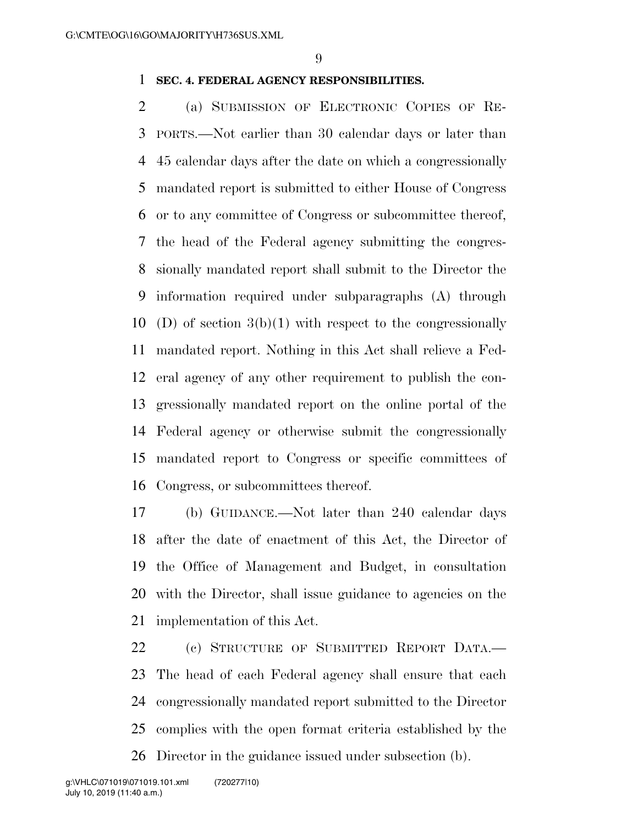#### **SEC. 4. FEDERAL AGENCY RESPONSIBILITIES.**

 (a) SUBMISSION OF ELECTRONIC COPIES OF RE- PORTS.—Not earlier than 30 calendar days or later than 45 calendar days after the date on which a congressionally mandated report is submitted to either House of Congress or to any committee of Congress or subcommittee thereof, the head of the Federal agency submitting the congres- sionally mandated report shall submit to the Director the information required under subparagraphs (A) through 10 (D) of section  $3(b)(1)$  with respect to the congressionally mandated report. Nothing in this Act shall relieve a Fed- eral agency of any other requirement to publish the con- gressionally mandated report on the online portal of the Federal agency or otherwise submit the congressionally mandated report to Congress or specific committees of Congress, or subcommittees thereof.

 (b) GUIDANCE.—Not later than 240 calendar days after the date of enactment of this Act, the Director of the Office of Management and Budget, in consultation with the Director, shall issue guidance to agencies on the implementation of this Act.

 (c) STRUCTURE OF SUBMITTED REPORT DATA.— The head of each Federal agency shall ensure that each congressionally mandated report submitted to the Director complies with the open format criteria established by the Director in the guidance issued under subsection (b).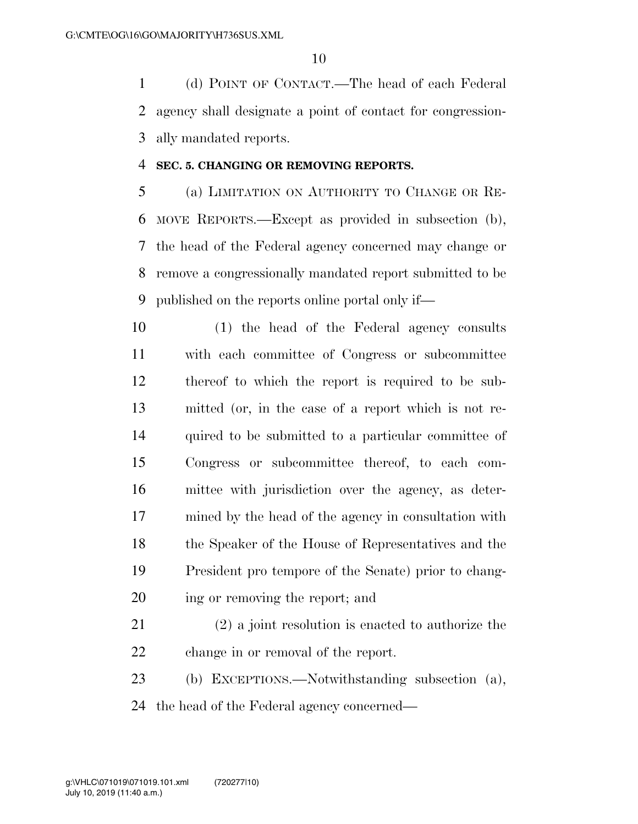(d) POINT OF CONTACT.—The head of each Federal agency shall designate a point of contact for congression-ally mandated reports.

#### **SEC. 5. CHANGING OR REMOVING REPORTS.**

 (a) LIMITATION ON AUTHORITY TO CHANGE OR RE- MOVE REPORTS.—Except as provided in subsection (b), the head of the Federal agency concerned may change or remove a congressionally mandated report submitted to be published on the reports online portal only if—

 (1) the head of the Federal agency consults with each committee of Congress or subcommittee thereof to which the report is required to be sub- mitted (or, in the case of a report which is not re-14 quired to be submitted to a particular committee of Congress or subcommittee thereof, to each com- mittee with jurisdiction over the agency, as deter- mined by the head of the agency in consultation with the Speaker of the House of Representatives and the President pro tempore of the Senate) prior to chang-ing or removing the report; and

 (2) a joint resolution is enacted to authorize the change in or removal of the report.

 (b) EXCEPTIONS.—Notwithstanding subsection (a), the head of the Federal agency concerned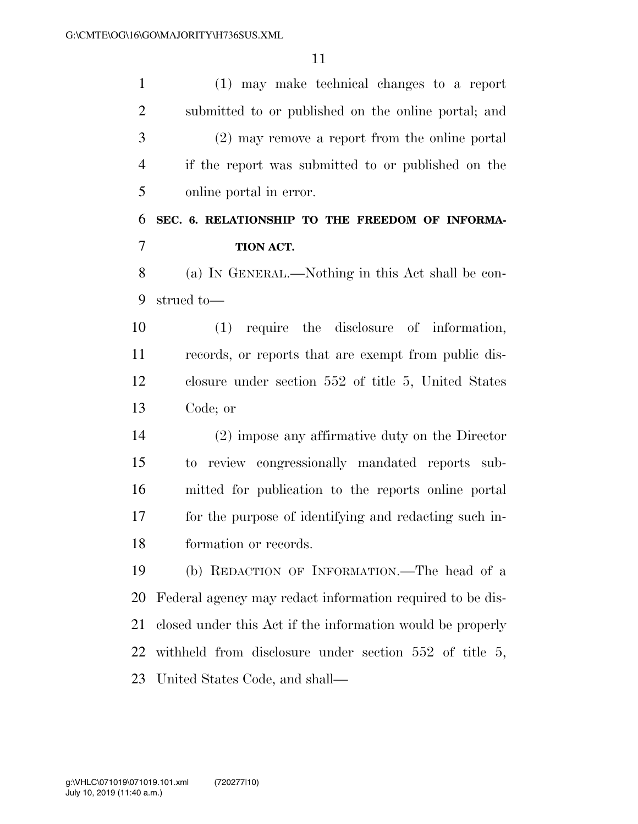(1) may make technical changes to a report submitted to or published on the online portal; and (2) may remove a report from the online portal if the report was submitted to or published on the online portal in error.

## **SEC. 6. RELATIONSHIP TO THE FREEDOM OF INFORMA-TION ACT.**

 (a) IN GENERAL.—Nothing in this Act shall be con-strued to—

 (1) require the disclosure of information, records, or reports that are exempt from public dis- closure under section 552 of title 5, United States Code; or

 (2) impose any affirmative duty on the Director to review congressionally mandated reports sub- mitted for publication to the reports online portal for the purpose of identifying and redacting such in-formation or records.

 (b) REDACTION OF INFORMATION.—The head of a Federal agency may redact information required to be dis- closed under this Act if the information would be properly withheld from disclosure under section 552 of title 5, United States Code, and shall—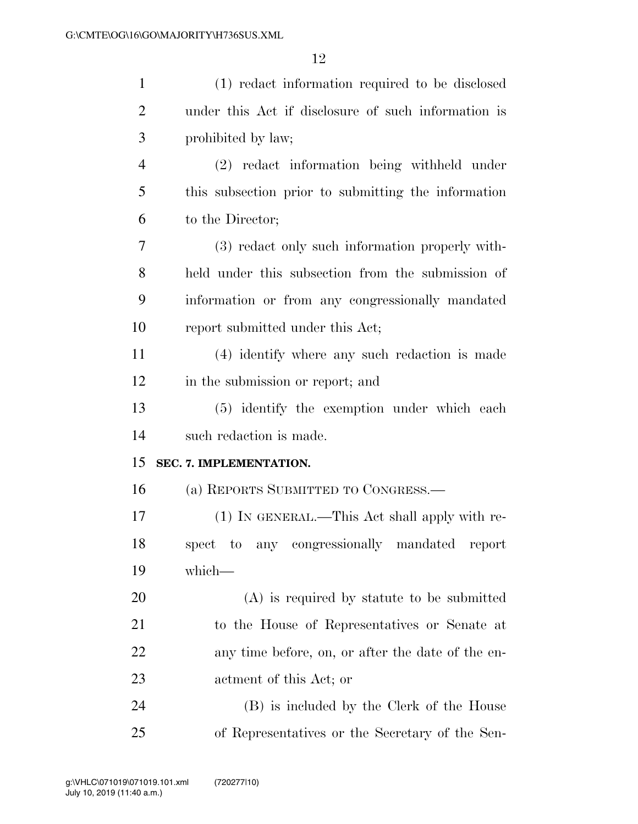| $\mathbf{1}$   | (1) redact information required to be disclosed     |
|----------------|-----------------------------------------------------|
| $\overline{2}$ | under this Act if disclosure of such information is |
| 3              | prohibited by law;                                  |
| $\overline{4}$ | (2) redact information being withheld under         |
| 5              | this subsection prior to submitting the information |
| 6              | to the Director;                                    |
| 7              | (3) redact only such information properly with-     |
| 8              | held under this subsection from the submission of   |
| 9              | information or from any congressionally mandated    |
| 10             | report submitted under this Act;                    |
| 11             | (4) identify where any such redaction is made       |
| 12             | in the submission or report; and                    |
| 13             | (5) identify the exemption under which each         |
| 14             | such redaction is made.                             |
| 15             | SEC. 7. IMPLEMENTATION.                             |
| 16             | (a) REPORTS SUBMITTED TO CONGRESS.—                 |
| 17             | (1) IN GENERAL.—This Act shall apply with re-       |
| 18             | spect to any congressionally mandated report        |
| 19             | which-                                              |
| 20             | $(A)$ is required by statute to be submitted        |
| 21             | to the House of Representatives or Senate at        |
| 22             | any time before, on, or after the date of the en-   |
| 23             | actment of this Act; or                             |
| 24             | (B) is included by the Clerk of the House           |
| 25             | of Representatives or the Secretary of the Sen-     |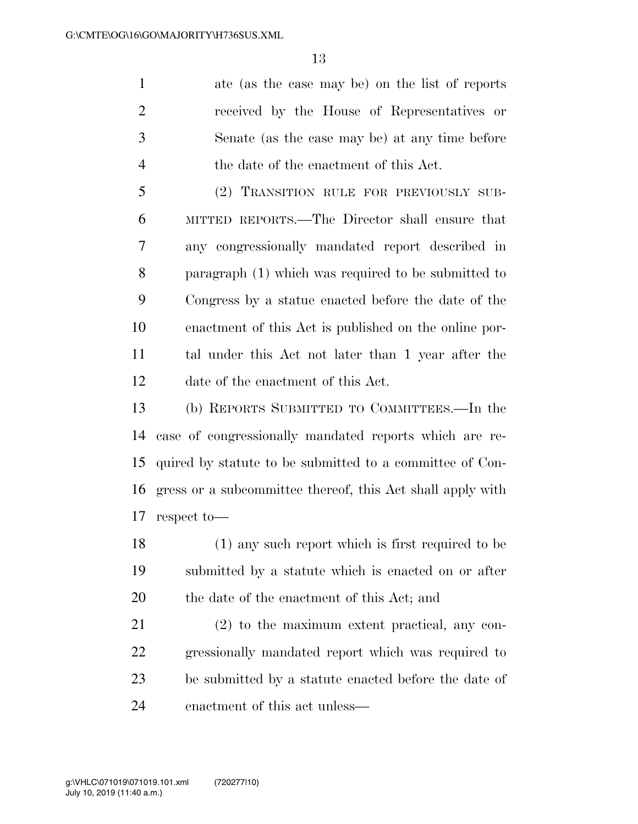ate (as the case may be) on the list of reports received by the House of Representatives or Senate (as the case may be) at any time before the date of the enactment of this Act.

 (2) TRANSITION RULE FOR PREVIOUSLY SUB- MITTED REPORTS.—The Director shall ensure that any congressionally mandated report described in paragraph (1) which was required to be submitted to Congress by a statue enacted before the date of the enactment of this Act is published on the online por- tal under this Act not later than 1 year after the date of the enactment of this Act.

 (b) REPORTS SUBMITTED TO COMMITTEES.—In the case of congressionally mandated reports which are re- quired by statute to be submitted to a committee of Con- gress or a subcommittee thereof, this Act shall apply with respect to—

 (1) any such report which is first required to be submitted by a statute which is enacted on or after the date of the enactment of this Act; and

 (2) to the maximum extent practical, any con- gressionally mandated report which was required to be submitted by a statute enacted before the date of enactment of this act unless